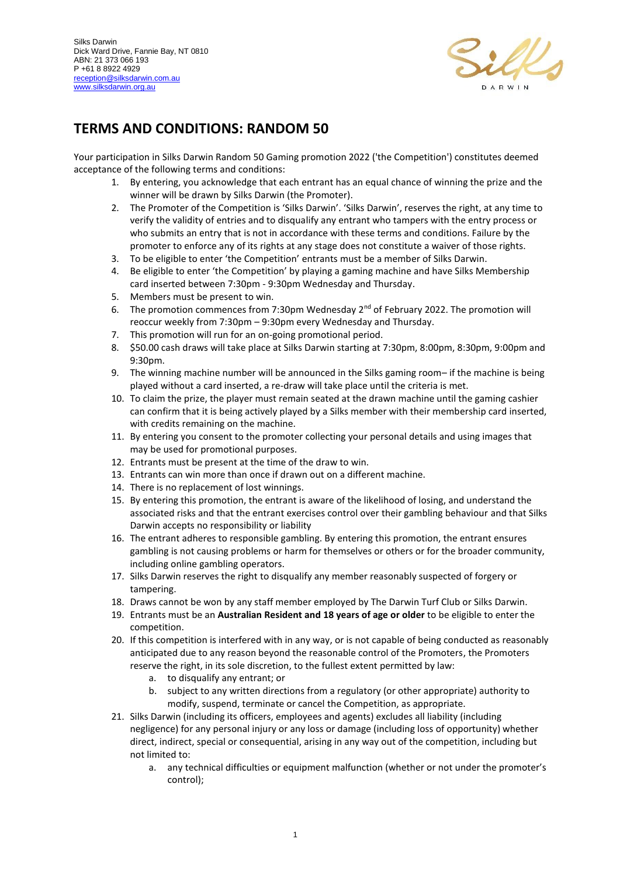

## **TERMS AND CONDITIONS: RANDOM 50**

Your participation in Silks Darwin Random 50 Gaming promotion 2022 ('the Competition') constitutes deemed acceptance of the following terms and conditions:

- 1. By entering, you acknowledge that each entrant has an equal chance of winning the prize and the winner will be drawn by Silks Darwin (the Promoter).
- 2. The Promoter of the Competition is 'Silks Darwin'. 'Silks Darwin', reserves the right, at any time to verify the validity of entries and to disqualify any entrant who tampers with the entry process or who submits an entry that is not in accordance with these terms and conditions. Failure by the promoter to enforce any of its rights at any stage does not constitute a waiver of those rights.
- 3. To be eligible to enter 'the Competition' entrants must be a member of Silks Darwin.
- 4. Be eligible to enter 'the Competition' by playing a gaming machine and have Silks Membership card inserted between 7:30pm - 9:30pm Wednesday and Thursday.
- 5. Members must be present to win.
- 6. The promotion commences from 7:30pm Wednesday  $2<sup>nd</sup>$  of February 2022. The promotion will reoccur weekly from 7:30pm – 9:30pm every Wednesday and Thursday.
- 7. This promotion will run for an on-going promotional period.
- 8. \$50.00 cash draws will take place at Silks Darwin starting at 7:30pm, 8:00pm, 8:30pm, 9:00pm and 9:30pm.
- 9. The winning machine number will be announced in the Silks gaming room– if the machine is being played without a card inserted, a re-draw will take place until the criteria is met.
- 10. To claim the prize, the player must remain seated at the drawn machine until the gaming cashier can confirm that it is being actively played by a Silks member with their membership card inserted, with credits remaining on the machine.
- 11. By entering you consent to the promoter collecting your personal details and using images that may be used for promotional purposes.
- 12. Entrants must be present at the time of the draw to win.
- 13. Entrants can win more than once if drawn out on a different machine.
- 14. There is no replacement of lost winnings.
- 15. By entering this promotion, the entrant is aware of the likelihood of losing, and understand the associated risks and that the entrant exercises control over their gambling behaviour and that Silks Darwin accepts no responsibility or liability
- 16. The entrant adheres to responsible gambling. By entering this promotion, the entrant ensures gambling is not causing problems or harm for themselves or others or for the broader community, including online gambling operators.
- 17. Silks Darwin reserves the right to disqualify any member reasonably suspected of forgery or tampering.
- 18. Draws cannot be won by any staff member employed by The Darwin Turf Club or Silks Darwin.
- 19. Entrants must be an **Australian Resident and 18 years of age or older** to be eligible to enter the competition.
- 20. If this competition is interfered with in any way, or is not capable of being conducted as reasonably anticipated due to any reason beyond the reasonable control of the Promoters, the Promoters reserve the right, in its sole discretion, to the fullest extent permitted by law:
	- a. to disqualify any entrant; or
	- b. subject to any written directions from a regulatory (or other appropriate) authority to modify, suspend, terminate or cancel the Competition, as appropriate.
- 21. Silks Darwin (including its officers, employees and agents) excludes all liability (including negligence) for any personal injury or any loss or damage (including loss of opportunity) whether direct, indirect, special or consequential, arising in any way out of the competition, including but not limited to:
	- a. any technical difficulties or equipment malfunction (whether or not under the promoter's control);